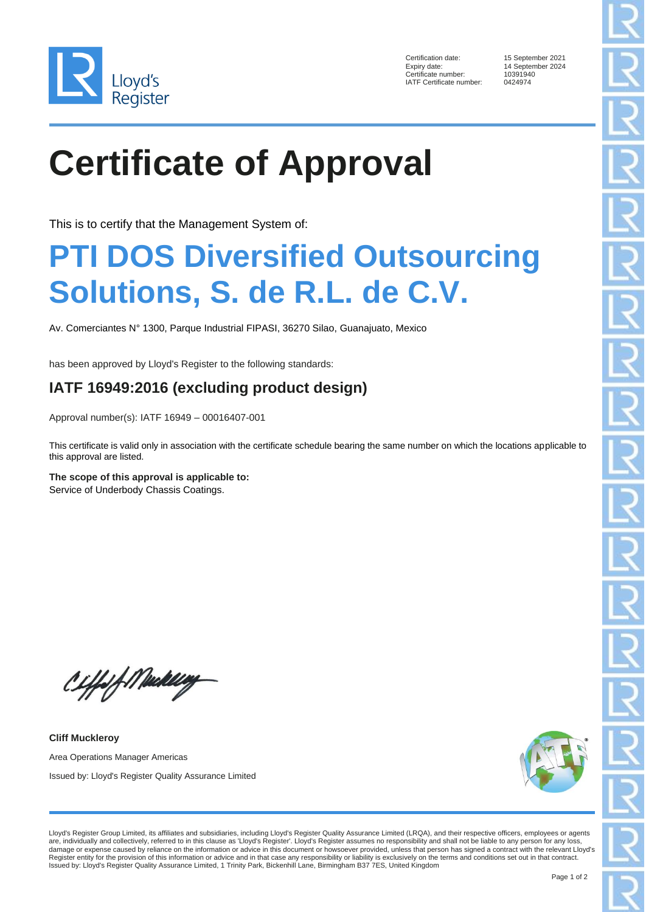

Certification date: 15 September 2021<br>Expiry date: 14 September 2024 Certificate number: IATF Certificate number: 0424974

14 September 2024<br>10391940

# **Certificate of Approval**

This is to certify that the Management System of:

### **PTI DOS Diversified Outsourcing Solutions, S. de R.L. de C.V.**

Av. Comerciantes N° 1300, Parque Industrial FIPASI, 36270 Silao, Guanajuato, Mexico

has been approved by Lloyd's Register to the following standards:

### **IATF 16949:2016 (excluding product design)**

Approval number(s): IATF 16949 – 00016407-001

This certificate is valid only in association with the certificate schedule bearing the same number on which the locations applicable to this approval are listed.

**The scope of this approval is applicable to:** Service of Underbody Chassis Coatings.

Ciffs of Mediting

**Cliff Muckleroy** Area Operations Manager Americas Issued by: Lloyd's Register Quality Assurance Limited



Lloyd's Register Group Limited, its affiliates and subsidiaries, including Lloyd's Register Quality Assurance Limited (LRQA), and their respective officers, employees or agents are, individually and collectively, referred to in this clause as 'Lloyd's Register'. Lloyd's Register assumes no responsibility and shall not be liable to any person for any loss, damage or expense caused by reliance on the information or advice in this document or howsoever provided, unless that person has signed a contract with the relevant Lloyd's Register entity for the provision of this information or advice and in that case any responsibility or liability is exclusively on the terms and conditions set out in that contract. Issued by: Lloyd's Register Quality Assurance Limited, 1 Trinity Park, Bickenhill Lane, Birmingham B37 7ES, United Kingdom